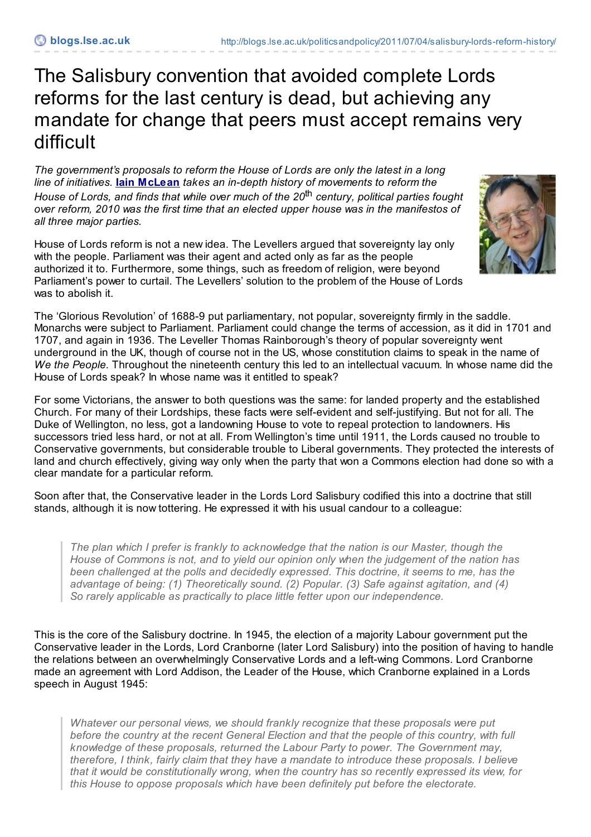## The Salisbury convention that avoided complete Lords reforms for the last century is dead, but achieving any mandate for change that peers must accept remains very difficult

*The government's proposals to reform the House of Lords are only the latest in a long line of initiatives.* **Iain [McLean](http://blogs.lse.ac.uk/politicsandpolicy/contributors/#Iain_McLean)** *takes an in-depth history of movements to reform the House of Lords, and finds that while over much of the 20* th *century, political parties fought over reform, 2010 was the first time that an elected upper house was in the manifestos of all three major parties.*

House of Lords reform is not a new idea. The Levellers argued that sovereignty lay only with the people. Parliament was their agent and acted only as far as the people authorized it to. Furthermore, some things, such as freedom of religion, were beyond Parliament's power to curtail. The Levellers' solution to the problem of the House of Lords was to abolish it.



The 'Glorious Revolution' of 1688-9 put parliamentary, not popular, sovereignty firmly in the saddle. Monarchs were subject to Parliament. Parliament could change the terms of accession, as it did in 1701 and 1707, and again in 1936. The Leveller Thomas Rainborough's theory of popular sovereignty went underground in the UK, though of course not in the US, whose constitution claims to speak in the name of *We the People.* Throughout the nineteenth century this led to an intellectual vacuum. In whose name did the House of Lords speak? In whose name was it entitled to speak?

For some Victorians, the answer to both questions was the same: for landed property and the established Church. For many of their Lordships, these facts were self-evident and self-justifying. But not for all. The Duke of Wellington, no less, got a landowning House to vote to repeal protection to landowners. His successors tried less hard, or not at all. From Wellington's time until 1911, the Lords caused no trouble to Conservative governments, but considerable trouble to Liberal governments. They protected the interests of land and church effectively, giving way only when the party that won a Commons election had done so with a clear mandate for a particular reform.

Soon after that, the Conservative leader in the Lords Lord Salisbury codified this into a doctrine that still stands, although it is now tottering. He expressed it with his usual candour to a colleague:

*The plan which I prefer is frankly to acknowledge that the nation is our Master, though the House of Commons is not, and to yield our opinion only when the judgement of the nation has been challenged at the polls and decidedly expressed. This doctrine, it seems to me, has the advantage of being: (1) Theoretically sound. (2) Popular. (3) Safe against agitation, and (4) So rarely applicable as practically to place little fetter upon our independence.*

This is the core of the Salisbury doctrine. In 1945, the election of a majority Labour government put the Conservative leader in the Lords, Lord Cranborne (later Lord Salisbury) into the position of having to handle the relations between an overwhelmingly Conservative Lords and a left-wing Commons. Lord Cranborne made an agreement with Lord Addison, the Leader of the House, which Cranborne explained in a Lords speech in August 1945:

*Whatever our personal views, we should frankly recognize that these proposals were put before the country at the recent General Election and that the people of this country, with full knowledge of these proposals, returned the Labour Party to power. The Government may, therefore, I think, fairly claim that they have a mandate to introduce these proposals. I believe that it would be constitutionally wrong, when the country has so recently expressed its view, for this House to oppose proposals which have been definitely put before the electorate.*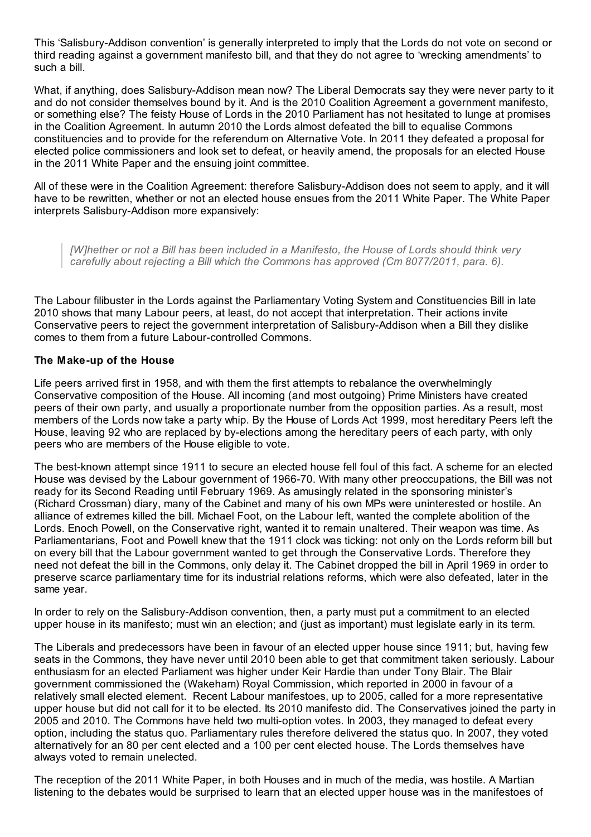This 'Salisbury-Addison convention' is generally interpreted to imply that the Lords do not vote on second or third reading against a government manifesto bill, and that they do not agree to 'wrecking amendments' to such a bill.

What, if anything, does Salisbury-Addison mean now? The Liberal Democrats say they were never party to it and do not consider themselves bound by it. And is the 2010 Coalition Agreement a government manifesto, or something else? The feisty House of Lords in the 2010 Parliament has not hesitated to lunge at promises in the Coalition Agreement. In autumn 2010 the Lords almost defeated the bill to equalise Commons constituencies and to provide for the referendum on Alternative Vote. In 2011 they defeated a proposal for elected police commissioners and look set to defeat, or heavily amend, the proposals for an elected House in the 2011 White Paper and the ensuing joint committee.

All of these were in the Coalition Agreement: therefore Salisbury-Addison does not seem to apply, and it will have to be rewritten, whether or not an elected house ensues from the 2011 White Paper. The White Paper interprets Salisbury-Addison more expansively:

*[W]hether or not a Bill has been included in a Manifesto, the House of Lords should think very carefully about rejecting a Bill which the Commons has approved (Cm 8077/2011, para. 6).*

The Labour filibuster in the Lords against the Parliamentary Voting System and Constituencies Bill in late 2010 shows that many Labour peers, at least, do not accept that interpretation. Their actions invite Conservative peers to reject the government interpretation of Salisbury-Addison when a Bill they dislike comes to them from a future Labour-controlled Commons.

## **The Make-up of the House**

Life peers arrived first in 1958, and with them the first attempts to rebalance the overwhelmingly Conservative composition of the House. All incoming (and most outgoing) Prime Ministers have created peers of their own party, and usually a proportionate number from the opposition parties. As a result, most members of the Lords now take a party whip. By the House of Lords Act 1999, most hereditary Peers left the House, leaving 92 who are replaced by by-elections among the hereditary peers of each party, with only peers who are members of the House eligible to vote.

The best-known attempt since 1911 to secure an elected house fell foul of this fact. A scheme for an elected House was devised by the Labour government of 1966-70. With many other preoccupations, the Bill was not ready for its Second Reading until February 1969. As amusingly related in the sponsoring minister's (Richard Crossman) diary, many of the Cabinet and many of his own MPs were uninterested or hostile. An alliance of extremes killed the bill. Michael Foot, on the Labour left, wanted the complete abolition of the Lords. Enoch Powell, on the Conservative right, wanted it to remain unaltered. Their weapon was time. As Parliamentarians, Foot and Powell knew that the 1911 clock was ticking: not only on the Lords reform bill but on every bill that the Labour government wanted to get through the Conservative Lords. Therefore they need not defeat the bill in the Commons, only delay it. The Cabinet dropped the bill in April 1969 in order to preserve scarce parliamentary time for its industrial relations reforms, which were also defeated, later in the same year.

In order to rely on the Salisbury-Addison convention, then, a party must put a commitment to an elected upper house in its manifesto; must win an election; and (just as important) must legislate early in its term.

The Liberals and predecessors have been in favour of an elected upper house since 1911; but, having few seats in the Commons, they have never until 2010 been able to get that commitment taken seriously. Labour enthusiasm for an elected Parliament was higher under Keir Hardie than under Tony Blair. The Blair government commissioned the (Wakeham) Royal Commission, which reported in 2000 in favour of a relatively small elected element. Recent Labour manifestoes, up to 2005, called for a more representative upper house but did not call for it to be elected. Its 2010 manifesto did. The Conservatives joined the party in 2005 and 2010. The Commons have held two multi-option votes. In 2003, they managed to defeat every option, including the status quo. Parliamentary rules therefore delivered the status quo. In 2007, they voted alternatively for an 80 per cent elected and a 100 per cent elected house. The Lords themselves have always voted to remain unelected.

The reception of the 2011 White Paper, in both Houses and in much of the media, was hostile. A Martian listening to the debates would be surprised to learn that an elected upper house was in the manifestoes of